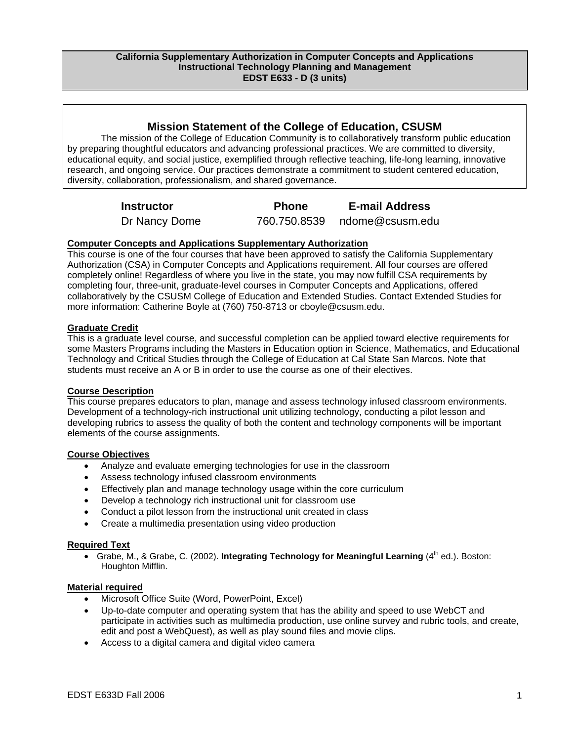# **Mission Statement of the College of Education, CSUSM**

The mission of the College of Education Community is to collaboratively transform public education by preparing thoughtful educators and advancing professional practices. We are committed to diversity, educational equity, and social justice, exemplified through reflective teaching, life-long learning, innovative research, and ongoing service. Our practices demonstrate a commitment to student centered education, diversity, collaboration, professionalism, and shared governance.

**Instructor Phone E-mail Address** 

Dr Nancy Dome 760.750.8539 ndome@csusm.edu

# **Computer Concepts and Applications Supplementary Authorization**

This course is one of the four courses that have been approved to satisfy the California Supplementary Authorization (CSA) in Computer Concepts and Applications requirement. All four courses are offered completely online! Regardless of where you live in the state, you may now fulfill CSA requirements by completing four, three-unit, graduate-level courses in Computer Concepts and Applications, offered collaboratively by the CSUSM College of Education and Extended Studies. Contact Extended Studies for more information: Catherine Boyle at (760) 750-8713 or cboyle@csusm.edu.

# **Graduate Credit**

This is a graduate level course, and successful completion can be applied toward elective requirements for some Masters Programs including the Masters in Education option in Science, Mathematics, and Educational Technology and Critical Studies through the College of Education at Cal State San Marcos. Note that students must receive an A or B in order to use the course as one of their electives.

# **Course Description**

This course prepares educators to plan, manage and assess technology infused classroom environments. Development of a technology-rich instructional unit utilizing technology, conducting a pilot lesson and developing rubrics to assess the quality of both the content and technology components will be important elements of the course assignments.

# **Course Objectives**

- Analyze and evaluate emerging technologies for use in the classroom
- Assess technology infused classroom environments
- Effectively plan and manage technology usage within the core curriculum
- Develop a technology rich instructional unit for classroom use
- Conduct a pilot lesson from the instructional unit created in class
- Create a multimedia presentation using video production

# **Required Text**

• Grabe, M., & Grabe, C. (2002). Integrating Technology for Meaningful Learning (4<sup>th</sup> ed.). Boston: Houghton Mifflin.

### **Material required**

- Microsoft Office Suite (Word, PowerPoint, Excel)
- Up-to-date computer and operating system that has the ability and speed to use WebCT and participate in activities such as multimedia production, use online survey and rubric tools, and create, edit and post a WebQuest), as well as play sound files and movie clips.
- Access to a digital camera and digital video camera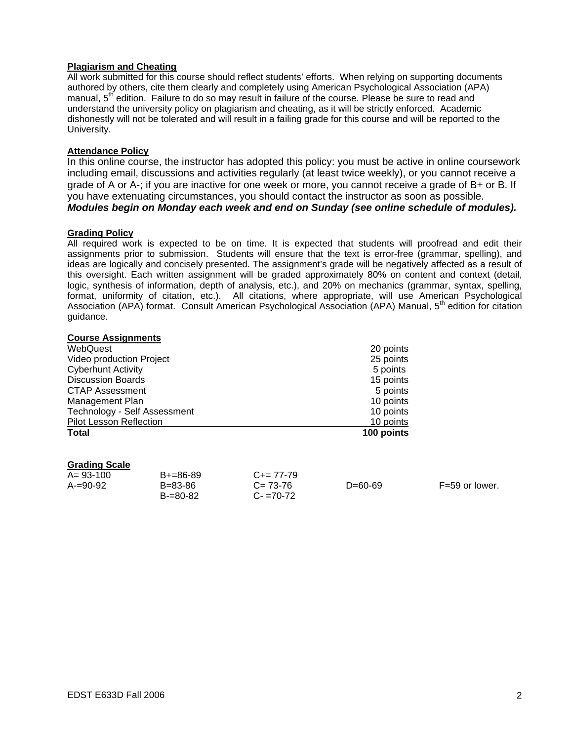### **Plagiarism and Cheating**

All work submitted for this course should reflect students' efforts. When relying on supporting documents authored by others, cite them clearly and completely using American Psychological Association (APA) manual, 5<sup>th</sup> edition. Failure to do so may result in failure of the course. Please be sure to read and understand the university policy on plagiarism and cheating, as it will be strictly enforced. Academic dishonestly will not be tolerated and will result in a failing grade for this course and will be reported to the University.

# **Attendance Policy**

In this online course, the instructor has adopted this policy: you must be active in online coursework including email, discussions and activities regularly (at least twice weekly), or you cannot receive a grade of A or A-; if you are inactive for one week or more, you cannot receive a grade of B+ or B. If you have extenuating circumstances, you should contact the instructor as soon as possible. *Modules begin on Monday each week and end on Sunday (see online schedule of modules).* 

# **Grading Policy**

All required work is expected to be on time. It is expected that students will proofread and edit their assignments prior to submission. Students will ensure that the text is error-free (grammar, spelling), and ideas are logically and concisely presented. The assignment's grade will be negatively affected as a result of this oversight. Each written assignment will be graded approximately 80% on content and context (detail, logic, synthesis of information, depth of analysis, etc.), and 20% on mechanics (grammar, syntax, spelling, format, uniformity of citation, etc.). All citations, where appropriate, will use American Psychological Association (APA) format. Consult American Psychological Association (APA) Manual, 5<sup>th</sup> edition for citation guidance.

| <b>Course Assignments</b>      |            |
|--------------------------------|------------|
| WebQuest                       | 20 points  |
| Video production Project       | 25 points  |
| <b>Cyberhunt Activity</b>      | 5 points   |
| <b>Discussion Boards</b>       | 15 points  |
| <b>CTAP Assessment</b>         | 5 points   |
| Management Plan                | 10 points  |
| Technology - Self Assessment   | 10 points  |
| <b>Pilot Lesson Reflection</b> | 10 points  |
| <b>Total</b>                   | 100 points |

### **Grading Scale**

| $A = 93 - 100$ | $B+=86-89$    | $C+= 77-79$   |           |                |
|----------------|---------------|---------------|-----------|----------------|
| $A=90-92$      | B=83-86       | $C = 73-76$   | $D=60-69$ | F=59 or lower. |
|                | $B = 80 - 82$ | $C - 70 - 72$ |           |                |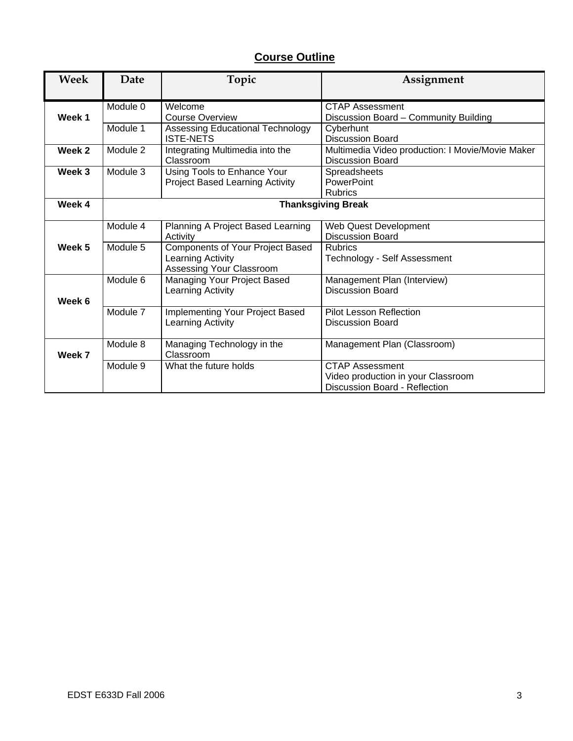# **Course Outline**

| Week   | Date     | Topic                                                | Assignment                                       |
|--------|----------|------------------------------------------------------|--------------------------------------------------|
|        |          |                                                      |                                                  |
|        | Module 0 | Welcome                                              | <b>CTAP Assessment</b>                           |
| Week 1 |          | Course Overview                                      | Discussion Board - Community Building            |
|        | Module 1 | Assessing Educational Technology<br><b>ISTE-NETS</b> | Cyberhunt<br><b>Discussion Board</b>             |
| Week 2 | Module 2 | Integrating Multimedia into the                      | Multimedia Video production: I Movie/Movie Maker |
|        |          | Classroom                                            | <b>Discussion Board</b>                          |
| Week 3 | Module 3 | Using Tools to Enhance Your                          | Spreadsheets                                     |
|        |          | <b>Project Based Learning Activity</b>               | PowerPoint                                       |
|        |          |                                                      | <b>Rubrics</b>                                   |
| Week 4 |          | <b>Thanksgiving Break</b>                            |                                                  |
|        | Module 4 | Planning A Project Based Learning                    | Web Quest Development                            |
|        |          | Activity                                             | <b>Discussion Board</b>                          |
| Week 5 | Module 5 | Components of Your Project Based                     | <b>Rubrics</b>                                   |
|        |          | Learning Activity                                    | Technology - Self Assessment                     |
|        |          | Assessing Your Classroom                             |                                                  |
|        | Module 6 | Managing Your Project Based                          | Management Plan (Interview)                      |
|        |          | Learning Activity                                    | <b>Discussion Board</b>                          |
| Week 6 |          |                                                      |                                                  |
|        | Module 7 | Implementing Your Project Based                      | <b>Pilot Lesson Reflection</b>                   |
|        |          | Learning Activity                                    | <b>Discussion Board</b>                          |
|        |          |                                                      |                                                  |
|        | Module 8 | Managing Technology in the                           | Management Plan (Classroom)                      |
| Week 7 |          | Classroom                                            |                                                  |
|        | Module 9 | What the future holds                                | CTAP Assessment                                  |
|        |          |                                                      | Video production in your Classroom               |
|        |          |                                                      | Discussion Board - Reflection                    |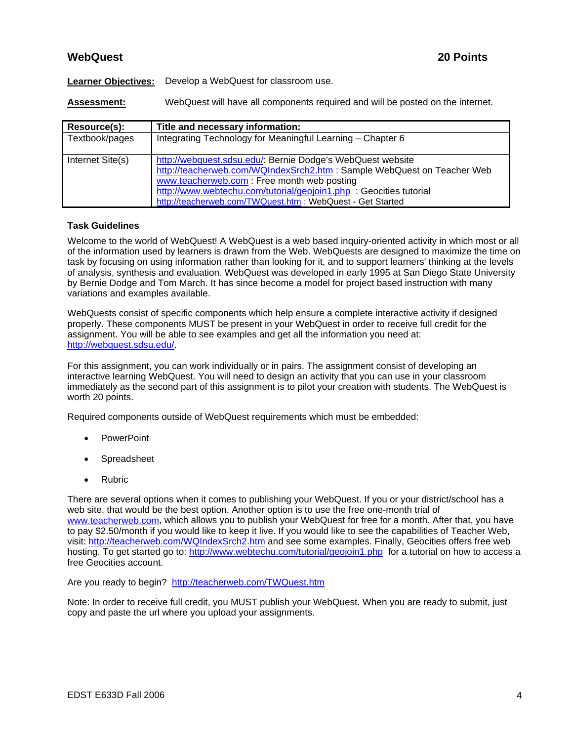# **WebQuest 20 Points**

**Learner Objectives:** Develop a WebQuest for classroom use.

**Assessment:** WebQuest will have all components required and will be posted on the internet.

| Resource(s):     | Title and necessary information:                                                                                                                                                                                                                                                                                        |  |
|------------------|-------------------------------------------------------------------------------------------------------------------------------------------------------------------------------------------------------------------------------------------------------------------------------------------------------------------------|--|
| Textbook/pages   | Integrating Technology for Meaningful Learning - Chapter 6                                                                                                                                                                                                                                                              |  |
| Internet Site(s) | http://webquest.sdsu.edu/: Bernie Dodge's WebQuest website<br>http://teacherweb.com/WQIndexSrch2.htm : Sample WebQuest on Teacher Web<br>www.teacherweb.com: Free month web posting<br>http://www.webtechu.com/tutorial/geojoin1.php : Geocities tutorial<br>http://teacherweb.com/TWQuest.htm : WebQuest - Get Started |  |

# **Task Guidelines**

Welcome to the world of WebQuest! A WebQuest is a web based inquiry-oriented activity in which most or all of the information used by learners is drawn from the Web. WebQuests are designed to maximize the time on task by focusing on using information rather than looking for it, and to support learners' thinking at the levels of analysis, synthesis and evaluation. WebQuest was developed in early 1995 at San Diego State University by Bernie Dodge and Tom March. It has since become a model for project based instruction with many variations and examples available.

WebQuests consist of specific components which help ensure a complete interactive activity if designed properly. These components MUST be present in your WebQuest in order to receive full credit for the assignment. You will be able to see examples and get all the information you need at: http://webquest.sdsu.edu/.

For this assignment, you can work individually or in pairs. The assignment consist of developing an interactive learning WebQuest. You will need to design an activity that you can use in your classroom immediately as the second part of this assignment is to pilot your creation with students. The WebQuest is worth 20 points.

Required components outside of WebQuest requirements which must be embedded:

- PowerPoint
- **Spreadsheet**
- Rubric

There are several options when it comes to publishing your WebQuest. If you or your district/school has a web site, that would be the best option. Another option is to use the free one-month trial of www.teacherweb.com, which allows you to publish your WebQuest for free for a month. After that, you have to pay \$2.50/month if you would like to keep it live. If you would like to see the capabilities of Teacher Web, visit: http://teacherweb.com/WQIndexSrch2.htm and see some examples. Finally, Geocities offers free web hosting. To get started go to: http://www.webtechu.com/tutorial/geojoin1.php for a tutorial on how to access a free Geocities account.

Are you ready to begin? http://teacherweb.com/TWQuest.htm

Note: In order to receive full credit, you MUST publish your WebQuest. When you are ready to submit, just copy and paste the url where you upload your assignments.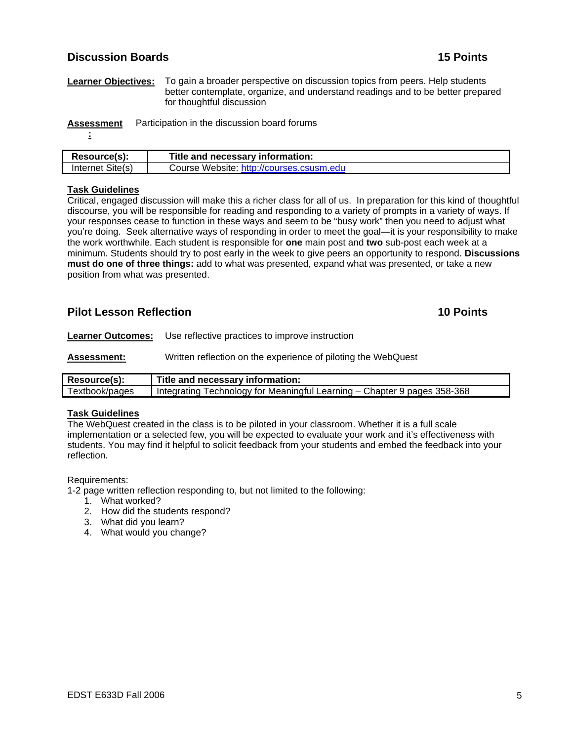# **Discussion Boards 15 Points**

**Learner Objectives:** To gain a broader perspective on discussion topics from peers. Help students better contemplate, organize, and understand readings and to be better prepared for thoughtful discussion

**Assessment** Participation in the discussion board forums

**<sup>:</sup>**

| Resource(s):     | Title and necessary information:         |
|------------------|------------------------------------------|
| Internet Site(s) | Course Website: http://courses.csusm.edu |

# **Task Guidelines**

Critical, engaged discussion will make this a richer class for all of us. In preparation for this kind of thoughtful discourse, you will be responsible for reading and responding to a variety of prompts in a variety of ways. If your responses cease to function in these ways and seem to be "busy work" then you need to adjust what you're doing. Seek alternative ways of responding in order to meet the goal—it is your responsibility to make the work worthwhile. Each student is responsible for **one** main post and **two** sub-post each week at a minimum. Students should try to post early in the week to give peers an opportunity to respond. **Discussions must do one of three things:** add to what was presented, expand what was presented, or take a new position from what was presented.

# **Pilot Lesson Reflection 2008 10 Points 10 Points 10 Points**

**Learner Outcomes:** Use reflective practices to improve instruction

**Assessment:** Written reflection on the experience of piloting the WebQuest

| Resource(s):   | Title and necessary information:                                         |
|----------------|--------------------------------------------------------------------------|
| Textbook/pages | Integrating Technology for Meaningful Learning - Chapter 9 pages 358-368 |

# **Task Guidelines**

The WebQuest created in the class is to be piloted in your classroom. Whether it is a full scale implementation or a selected few, you will be expected to evaluate your work and it's effectiveness with students. You may find it helpful to solicit feedback from your students and embed the feedback into your reflection.

Requirements:

1-2 page written reflection responding to, but not limited to the following:

- 1. What worked?
- 2. How did the students respond?
- 3. What did you learn?
- 4. What would you change?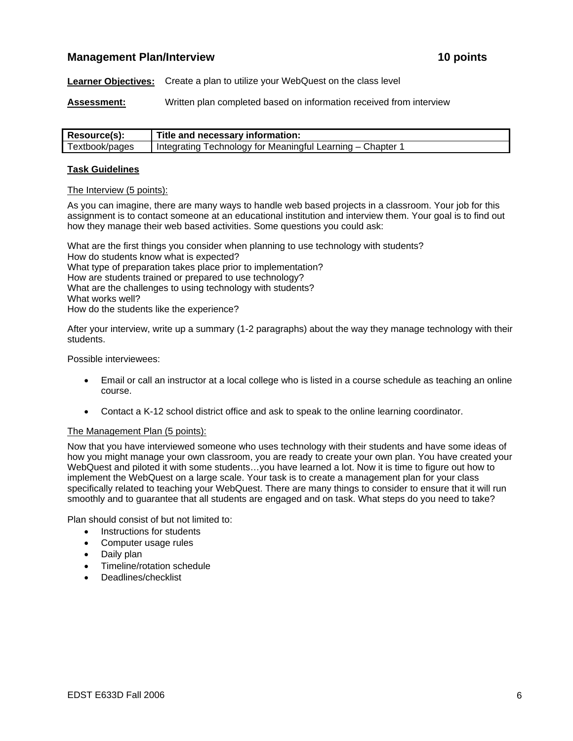# **Management Plan/Interview 10 points 10 points in the state of the state of the state of the state of the state of the state of the state of the state of the state of the state of the state of the state of the state of the**

**Learner Objectives:** Create a plan to utilize your WebQuest on the class level

**Assessment:** Written plan completed based on information received from interview

| Resource(s):   | ⊩ Title and necessary information:                       |
|----------------|----------------------------------------------------------|
| Textbook/pages | Integrating Technology for Meaningful Learning – Chapter |

#### **Task Guidelines**

#### The Interview (5 points):

As you can imagine, there are many ways to handle web based projects in a classroom. Your job for this assignment is to contact someone at an educational institution and interview them. Your goal is to find out how they manage their web based activities. Some questions you could ask:

What are the first things you consider when planning to use technology with students? How do students know what is expected? What type of preparation takes place prior to implementation? How are students trained or prepared to use technology? What are the challenges to using technology with students? What works well? How do the students like the experience?

After your interview, write up a summary (1-2 paragraphs) about the way they manage technology with their students.

Possible interviewees:

- Email or call an instructor at a local college who is listed in a course schedule as teaching an online course.
- Contact a K-12 school district office and ask to speak to the online learning coordinator.

#### The Management Plan (5 points):

Now that you have interviewed someone who uses technology with their students and have some ideas of how you might manage your own classroom, you are ready to create your own plan. You have created your WebQuest and piloted it with some students…you have learned a lot. Now it is time to figure out how to implement the WebQuest on a large scale. Your task is to create a management plan for your class specifically related to teaching your WebQuest. There are many things to consider to ensure that it will run smoothly and to guarantee that all students are engaged and on task. What steps do you need to take?

Plan should consist of but not limited to:

- Instructions for students
- Computer usage rules
- Daily plan
- Timeline/rotation schedule
- Deadlines/checklist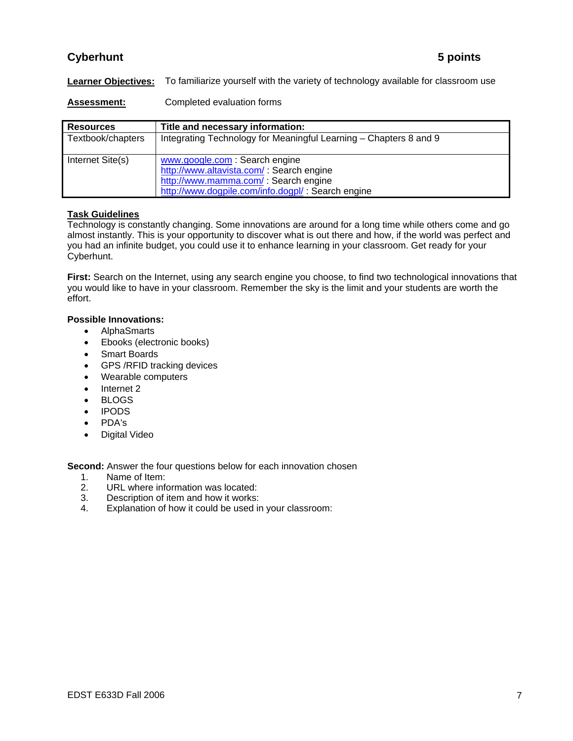# **Cyberhunt** 5 points

**Learner Objectives:** To familiarize yourself with the variety of technology available for classroom use

**Assessment:** Completed evaluation forms

| <b>Resources</b>  | Title and necessary information:                                                                                                                                        |
|-------------------|-------------------------------------------------------------------------------------------------------------------------------------------------------------------------|
| Textbook/chapters | Integrating Technology for Meaningful Learning - Chapters 8 and 9                                                                                                       |
| Internet Site(s)  | www.google.com: Search engine<br>http://www.altavista.com/: Search engine<br>http://www.mamma.com/ : Search engine<br>http://www.dogpile.com/info.dogpl/: Search engine |

# **Task Guidelines**

Technology is constantly changing. Some innovations are around for a long time while others come and go almost instantly. This is your opportunity to discover what is out there and how, if the world was perfect and you had an infinite budget, you could use it to enhance learning in your classroom. Get ready for your Cyberhunt.

**First:** Search on the Internet, using any search engine you choose, to find two technological innovations that you would like to have in your classroom. Remember the sky is the limit and your students are worth the effort.

# **Possible Innovations:**

- AlphaSmarts
- Ebooks (electronic books)
- Smart Boards
- GPS /RFID tracking devices
- Wearable computers
- Internet 2
- BLOGS
- IPODS
- PDA's
- Digital Video

**Second:** Answer the four questions below for each innovation chosen

- 1. Name of Item:
- 2. URL where information was located:
- 3. Description of item and how it works:
- 4. Explanation of how it could be used in your classroom: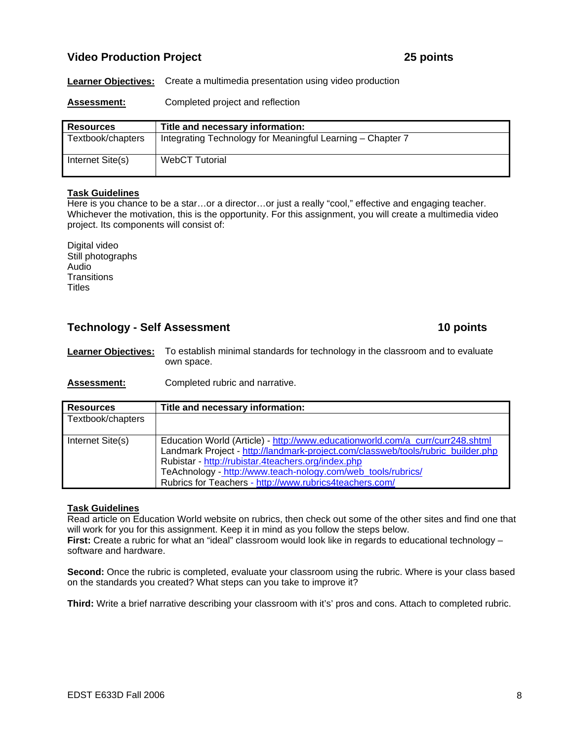# **Video Production Project 25 points**

**Learner Objectives:** Create a multimedia presentation using video production

Assessment: Completed project and reflection

| <b>Resources</b>  | Title and necessary information:                           |
|-------------------|------------------------------------------------------------|
| Textbook/chapters | Integrating Technology for Meaningful Learning - Chapter 7 |
| Internet Site(s)  | <b>WebCT Tutorial</b>                                      |

### **Task Guidelines**

Here is you chance to be a star…or a director…or just a really "cool," effective and engaging teacher. Whichever the motivation, this is the opportunity. For this assignment, you will create a multimedia video project. Its components will consist of:

Digital video Still photographs Audio **Transitions Titles** 

# **Technology - Self Assessment 10 points 10 points**

**Learner Objectives:** To establish minimal standards for technology in the classroom and to evaluate own space.

**Assessment:** Completed rubric and narrative.

| <b>Resources</b>  | Title and necessary information:                                                                                                                                                                                                                                                                                                                    |  |
|-------------------|-----------------------------------------------------------------------------------------------------------------------------------------------------------------------------------------------------------------------------------------------------------------------------------------------------------------------------------------------------|--|
| Textbook/chapters |                                                                                                                                                                                                                                                                                                                                                     |  |
| Internet Site(s)  | Education World (Article) - http://www.educationworld.com/a_curr/curr248.shtml<br>Landmark Project - http://landmark-project.com/classweb/tools/rubric_builder.php<br>Rubistar - http://rubistar.4teachers.org/index.php<br>TeAchnology - http://www.teach-nology.com/web_tools/rubrics/<br>Rubrics for Teachers - http://www.rubrics4teachers.com/ |  |

### **Task Guidelines**

Read article on Education World website on rubrics, then check out some of the other sites and find one that will work for you for this assignment. Keep it in mind as you follow the steps below. **First:** Create a rubric for what an "ideal" classroom would look like in regards to educational technology – software and hardware.

**Second:** Once the rubric is completed, evaluate your classroom using the rubric. Where is your class based on the standards you created? What steps can you take to improve it?

**Third:** Write a brief narrative describing your classroom with it's' pros and cons. Attach to completed rubric.